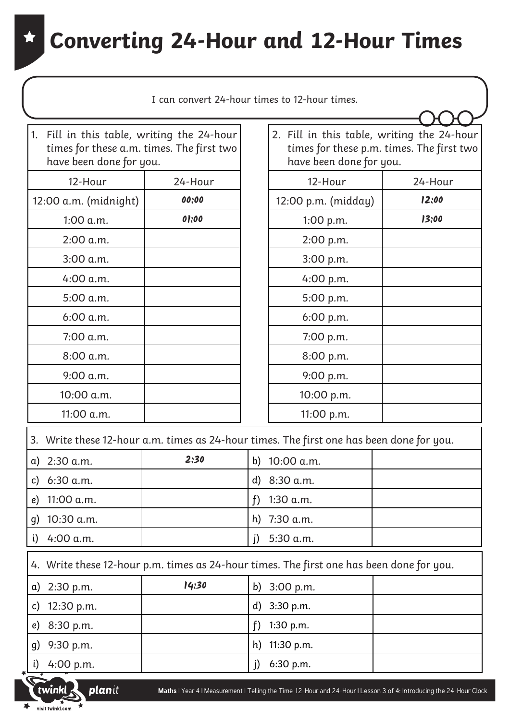| 1. Fill in this table, writing the 24-hour<br>2. Fill in this table, writing the 24-hour<br>times for these a.m. times. The first two<br>times for these p.m. times. The first two<br>have been done for you.<br>have been done for you.<br>12-Hour<br>12-Hour<br>24-Hour<br>24-Hour<br>00:00<br>12:00<br>12:00 a.m. (midnight)<br>12:00 p.m. (midday)<br>13:00<br>01:00<br>1:00 a.m.<br>1:00 p.m.<br>2:00 a.m.<br>2:00 p.m.<br>3:00 a.m.<br>3:00 p.m.<br>4:00 a.m.<br>4:00 p.m.<br>5:00 a.m.<br>5:00 p.m.<br>6:00 a.m.<br>6:00 p.m.<br>7:00 a.m.<br>7:00 p.m.<br>8:00 a.m.<br>8:00 p.m.<br>9:00 a.m.<br>9:00 p.m.<br>10:00 a.m.<br>10:00 p.m.<br>11:00 a.m.<br>11:00 p.m.<br>3. Write these 12-hour a.m. times as 24-hour times. The first one has been done for you.<br>2:30<br>b) $10:00$ a.m.<br>a) $2:30$ a.m.<br>6:30 a.m.<br>8:30 a.m.<br>d)<br>c)<br>11:00 a.m.<br>1:30 a.m.<br>f<br>e)<br>10:30 a.m.<br>h) 7:30 a.m.<br>g)<br>4:00 a.m.<br>5:30 a.m.<br>i)<br>j) | I can convert 24-hour times to 12-hour times. |  |  |
|---------------------------------------------------------------------------------------------------------------------------------------------------------------------------------------------------------------------------------------------------------------------------------------------------------------------------------------------------------------------------------------------------------------------------------------------------------------------------------------------------------------------------------------------------------------------------------------------------------------------------------------------------------------------------------------------------------------------------------------------------------------------------------------------------------------------------------------------------------------------------------------------------------------------------------------------------------------------------|-----------------------------------------------|--|--|
|                                                                                                                                                                                                                                                                                                                                                                                                                                                                                                                                                                                                                                                                                                                                                                                                                                                                                                                                                                           |                                               |  |  |
|                                                                                                                                                                                                                                                                                                                                                                                                                                                                                                                                                                                                                                                                                                                                                                                                                                                                                                                                                                           |                                               |  |  |
|                                                                                                                                                                                                                                                                                                                                                                                                                                                                                                                                                                                                                                                                                                                                                                                                                                                                                                                                                                           |                                               |  |  |
|                                                                                                                                                                                                                                                                                                                                                                                                                                                                                                                                                                                                                                                                                                                                                                                                                                                                                                                                                                           |                                               |  |  |
|                                                                                                                                                                                                                                                                                                                                                                                                                                                                                                                                                                                                                                                                                                                                                                                                                                                                                                                                                                           |                                               |  |  |
|                                                                                                                                                                                                                                                                                                                                                                                                                                                                                                                                                                                                                                                                                                                                                                                                                                                                                                                                                                           |                                               |  |  |
|                                                                                                                                                                                                                                                                                                                                                                                                                                                                                                                                                                                                                                                                                                                                                                                                                                                                                                                                                                           |                                               |  |  |
|                                                                                                                                                                                                                                                                                                                                                                                                                                                                                                                                                                                                                                                                                                                                                                                                                                                                                                                                                                           |                                               |  |  |
|                                                                                                                                                                                                                                                                                                                                                                                                                                                                                                                                                                                                                                                                                                                                                                                                                                                                                                                                                                           |                                               |  |  |
|                                                                                                                                                                                                                                                                                                                                                                                                                                                                                                                                                                                                                                                                                                                                                                                                                                                                                                                                                                           |                                               |  |  |
|                                                                                                                                                                                                                                                                                                                                                                                                                                                                                                                                                                                                                                                                                                                                                                                                                                                                                                                                                                           |                                               |  |  |
|                                                                                                                                                                                                                                                                                                                                                                                                                                                                                                                                                                                                                                                                                                                                                                                                                                                                                                                                                                           |                                               |  |  |
|                                                                                                                                                                                                                                                                                                                                                                                                                                                                                                                                                                                                                                                                                                                                                                                                                                                                                                                                                                           |                                               |  |  |
|                                                                                                                                                                                                                                                                                                                                                                                                                                                                                                                                                                                                                                                                                                                                                                                                                                                                                                                                                                           |                                               |  |  |
|                                                                                                                                                                                                                                                                                                                                                                                                                                                                                                                                                                                                                                                                                                                                                                                                                                                                                                                                                                           |                                               |  |  |
|                                                                                                                                                                                                                                                                                                                                                                                                                                                                                                                                                                                                                                                                                                                                                                                                                                                                                                                                                                           |                                               |  |  |
|                                                                                                                                                                                                                                                                                                                                                                                                                                                                                                                                                                                                                                                                                                                                                                                                                                                                                                                                                                           |                                               |  |  |
|                                                                                                                                                                                                                                                                                                                                                                                                                                                                                                                                                                                                                                                                                                                                                                                                                                                                                                                                                                           |                                               |  |  |
|                                                                                                                                                                                                                                                                                                                                                                                                                                                                                                                                                                                                                                                                                                                                                                                                                                                                                                                                                                           |                                               |  |  |
|                                                                                                                                                                                                                                                                                                                                                                                                                                                                                                                                                                                                                                                                                                                                                                                                                                                                                                                                                                           |                                               |  |  |
| 4. Write these 12-hour p.m. times as 24-hour times. The first one has been done for you.                                                                                                                                                                                                                                                                                                                                                                                                                                                                                                                                                                                                                                                                                                                                                                                                                                                                                  |                                               |  |  |
| 14:30<br>b) 3:00 p.m.<br>2:30 p.m.<br>a)                                                                                                                                                                                                                                                                                                                                                                                                                                                                                                                                                                                                                                                                                                                                                                                                                                                                                                                                  |                                               |  |  |
| 12:30 p.m.<br>3:30 p.m.<br>d)<br>c)                                                                                                                                                                                                                                                                                                                                                                                                                                                                                                                                                                                                                                                                                                                                                                                                                                                                                                                                       |                                               |  |  |
| 1:30 p.m.<br>8:30 p.m.<br>f<br>e)                                                                                                                                                                                                                                                                                                                                                                                                                                                                                                                                                                                                                                                                                                                                                                                                                                                                                                                                         |                                               |  |  |
| 11:30 p.m.<br>9:30 p.m.<br>h)<br>g)                                                                                                                                                                                                                                                                                                                                                                                                                                                                                                                                                                                                                                                                                                                                                                                                                                                                                                                                       |                                               |  |  |
| 4:00 p.m.<br>6:30 p.m.<br>j)<br>i)                                                                                                                                                                                                                                                                                                                                                                                                                                                                                                                                                                                                                                                                                                                                                                                                                                                                                                                                        |                                               |  |  |

visit twinkl.com  $\blacktriangleright$ 

twinkl

planit

**Maths** | Year 4 | Measurement | Telling the Time 12-Hour and 24-Hour | Lesson 3 of 4: Introducing the 24-Hour Clock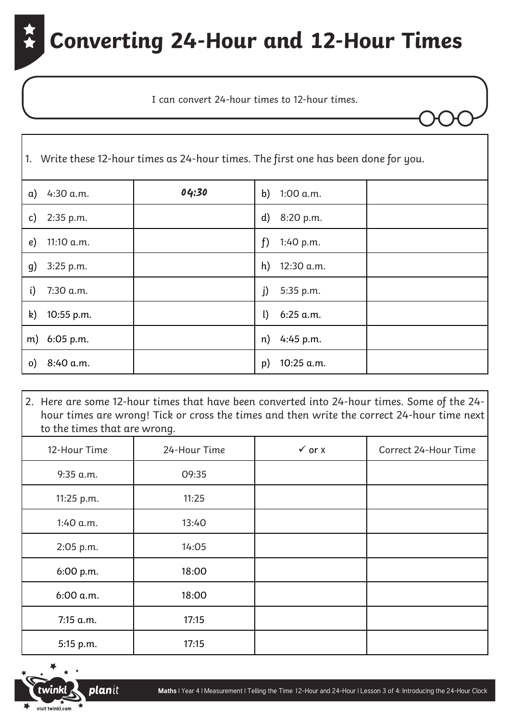I can convert 24-hour times to 12-hour times.

|          | 1. Write these 12-hour times as 24-hour times. The first one has been done for you. |       |                      |  |  |  |  |
|----------|-------------------------------------------------------------------------------------|-------|----------------------|--|--|--|--|
| a)       | 4:30 a.m.                                                                           | 04:30 | b)<br>1:00 a.m.      |  |  |  |  |
| c)       | 2:35 p.m.                                                                           |       | 8:20 p.m.<br>d)      |  |  |  |  |
| e)       | 11:10 a.m.                                                                          |       | f<br>1:40 p.m.       |  |  |  |  |
| g)       | 3:25 p.m.                                                                           |       | h)<br>12:30 a.m.     |  |  |  |  |
| i)       | 7:30 a.m.                                                                           |       | j)<br>5:35 p.m.      |  |  |  |  |
| k)       | 10:55 p.m.                                                                          |       | 6:25 a.m.<br>$\iota$ |  |  |  |  |
|          | m) 6:05 p.m.                                                                        |       | 4:45 p.m.<br>n)      |  |  |  |  |
| $\circ)$ | 8:40 a.m.                                                                           |       | 10:25 a.m.<br>p)     |  |  |  |  |

2. Here are some 12-hour times that have been converted into 24-hour times. Some of the 24 hour times are wrong! Tick or cross the times and then write the correct 24-hour time next to the times that are wrong.

| 12-Hour Time | 24-Hour Time | $\checkmark$ or $\checkmark$ | Correct 24-Hour Time |
|--------------|--------------|------------------------------|----------------------|
| $9:35$ a.m.  | 09:35        |                              |                      |
| 11:25 p.m.   | 11:25        |                              |                      |
| 1:40 a.m.    | 13:40        |                              |                      |
| 2:05 p.m.    | 14:05        |                              |                      |
| 6:00 p.m.    | 18:00        |                              |                      |
| 6:00 a.m.    | 18:00        |                              |                      |
| 7:15 a.m.    | 17:15        |                              |                      |
| 5:15 p.m.    | 17:15        |                              |                      |

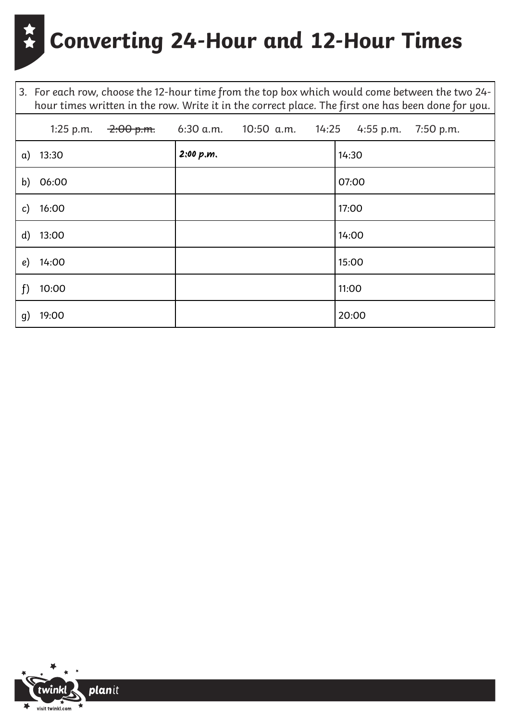3. For each row, choose the 12-hour time from the top box which would come between the two 24 hour times written in the row. Write it in the correct place. The first one has been done for you.

| 1:25 p.m.   |           | $-2.00$ p.m. 6:30 a.m. 10:50 a.m. 14:25 4:55 p.m. 7:50 p.m. |
|-------------|-----------|-------------------------------------------------------------|
| $a)$ 13:30  | 2:00 p.m. | 14:30                                                       |
| b) 06:00    |           | 07:00                                                       |
| 16:00<br>c) |           | 17:00                                                       |
| d) $13:00$  |           | 14:00                                                       |
| e) $14:00$  |           | 15:00                                                       |
| f<br>10:00  |           | 11:00                                                       |
| 19:00<br>g) |           | 20:00                                                       |

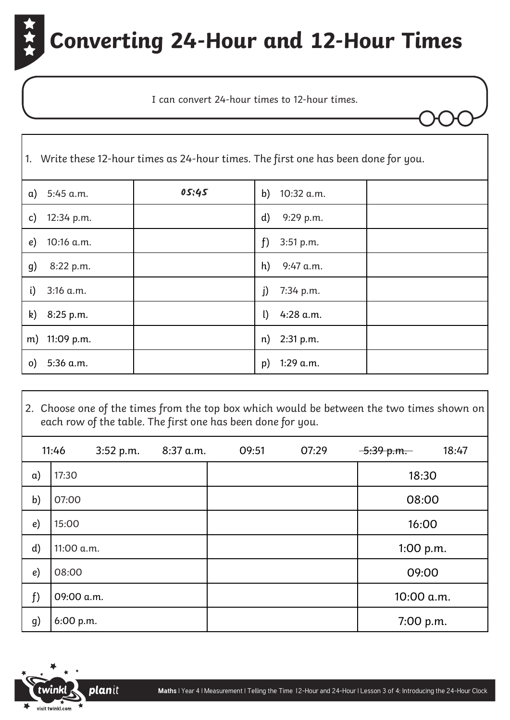I can convert 24-hour times to 12-hour times.

|              | 1. Write these 12-hour times as 24-hour times. The first one has been done for you. |       |                           |  |  |  |
|--------------|-------------------------------------------------------------------------------------|-------|---------------------------|--|--|--|
| $\alpha$ )   | 5:45 a.m.                                                                           | 05:45 | 10:32 a.m.<br>b)          |  |  |  |
| $\mathsf{c}$ | 12:34 p.m.                                                                          |       | $\mathbf{d}$<br>9:29 p.m. |  |  |  |
| e)           | 10:16 a.m.                                                                          |       | f<br>3:51 p.m.            |  |  |  |
| g)           | 8:22 p.m.                                                                           |       | h)<br>$9:47$ a.m.         |  |  |  |
| i)           | 3:16 a.m.                                                                           |       | 7:34 p.m.<br>j)           |  |  |  |
|              | k) 8:25 p.m.                                                                        |       | $\mathbf{I}$<br>4:28 a.m. |  |  |  |
|              | m) 11:09 p.m.                                                                       |       | 2:31 p.m.<br>n)           |  |  |  |
| $\circ)$     | 5:36 a.m.                                                                           |       | 1:29 a.m.<br>p)           |  |  |  |

2. Choose one of the times from the top box which would be between the two times shown on each row of the table. The first one has been done for you.

|            | 11:46      | 3:52 p.m. | 8:37 a.m. | 09:51 | 07:29 | $-5:39$ p.m. | 18:47 |
|------------|------------|-----------|-----------|-------|-------|--------------|-------|
| $\alpha$ ) | 17:30      |           |           |       |       | 18:30        |       |
| b)         | 07:00      |           |           |       |       | 08:00        |       |
| e)         | 15:00      |           |           |       |       | 16:00        |       |
| d)         | 11:00 a.m. |           |           |       |       | 1:00 p.m.    |       |
| e)         | 08:00      |           |           |       |       | 09:00        |       |
| f          | 09:00 a.m. |           |           |       |       | 10:00 a.m.   |       |
| g)         | 6:00 p.m.  |           |           |       |       | 7:00 p.m.    |       |

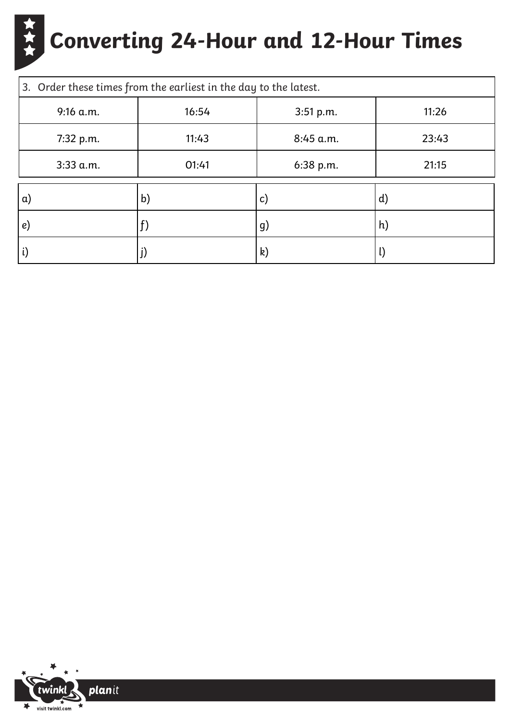| 3. Order these times from the earliest in the day to the latest. |       |               |              |  |
|------------------------------------------------------------------|-------|---------------|--------------|--|
| $9:16$ a.m.                                                      | 16:54 | 3:51 p.m.     | 11:26        |  |
| 7:32 p.m.                                                        | 11:43 | $8:45$ a.m.   | 23:43        |  |
| $3:33$ a.m.                                                      | 01:41 | 6:38 p.m.     | 21:15        |  |
| $\alpha$                                                         | b)    | $\mathsf{c})$ | $\mathbf{d}$ |  |
| e)                                                               |       | g)            | $\mathsf{h}$ |  |
| $\mathfrak{i}$                                                   |       | k)            | $\mathsf{L}$ |  |

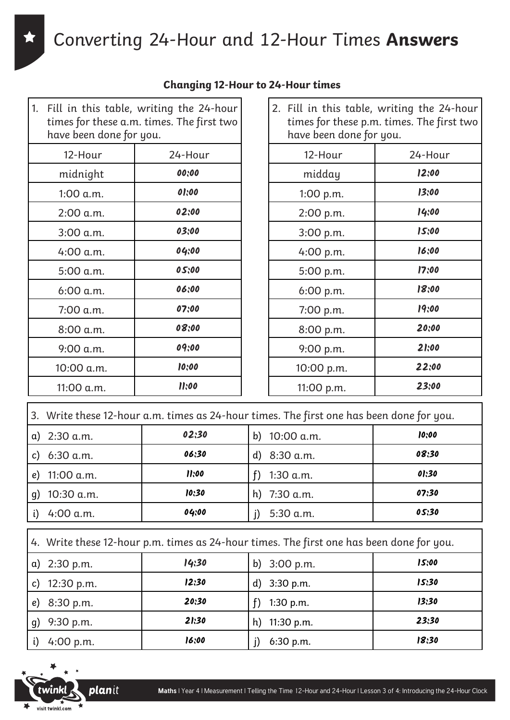Converting 24-Hour and 12-Hour Times **Answers**

| Fill in this table, writing the 24-hour<br>1.<br>times for these a.m. times. The first two<br>have been done for you. |         |  |  |  |
|-----------------------------------------------------------------------------------------------------------------------|---------|--|--|--|
| 12-Hour                                                                                                               | 24-Hour |  |  |  |
| midnight                                                                                                              | 00;00   |  |  |  |
| 1:00 a.m.                                                                                                             | 01:00   |  |  |  |
| 2:00 a.m.                                                                                                             | 02:00   |  |  |  |
| 3:00 a.m.                                                                                                             | 03:00   |  |  |  |
| 4:00 a.m.                                                                                                             | 04:00   |  |  |  |
| 5:00 a.m.                                                                                                             | 05:00   |  |  |  |
| 6:00 a.m.                                                                                                             | 06:00   |  |  |  |
| 7:00 a.m.                                                                                                             | 07:00   |  |  |  |
| 8:00 a.m.                                                                                                             | 08:00   |  |  |  |
| 9:00 a.m.                                                                                                             | 09:00   |  |  |  |
| 10:00 a.m.                                                                                                            | 10:00   |  |  |  |
| 11:00 a.m.                                                                                                            | 11:00   |  |  |  |

|  | <b>Changing 12-Hour to 24-Hour times</b> |  |
|--|------------------------------------------|--|
|  |                                          |  |

| 2. Fill in this table, writing the 24-hour<br>times for these p.m. times. The first two<br>have been done for you. |         |  |  |  |
|--------------------------------------------------------------------------------------------------------------------|---------|--|--|--|
| 12-Hour                                                                                                            | 24-Hour |  |  |  |
| midday                                                                                                             | 12:00   |  |  |  |
| 1:00 p.m.                                                                                                          | 13:00   |  |  |  |
| 2:00 p.m.                                                                                                          | 14:00   |  |  |  |
| 3:00 p.m.                                                                                                          | 15:00   |  |  |  |
| 4:00 p.m.                                                                                                          | 16:00   |  |  |  |
| 5:00 p.m.                                                                                                          | 17:00   |  |  |  |
| 6:00 p.m.                                                                                                          | 18:00   |  |  |  |
| 7:00 p.m.                                                                                                          | 19:00   |  |  |  |
| 8:00 p.m.                                                                                                          | 20:00   |  |  |  |
| 9:00 p.m.                                                                                                          | 21:00   |  |  |  |
| 10:00 p.m.                                                                                                         | 22:00   |  |  |  |
| 11:00 p.m.                                                                                                         | 23:00   |  |  |  |

|    | 3. Write these 12-hour a.m. times as 24-hour times. The first one has been done for you. |       |                  |       |  |
|----|------------------------------------------------------------------------------------------|-------|------------------|-------|--|
|    | $a)$ 2:30 a.m.                                                                           | 02:30 | 10:00 a.m.<br>b) | 10:00 |  |
| c) | 6:30 a.m.                                                                                | 06:30 | d) $8:30$ a.m.   | 08:30 |  |
| e) | 11:00 a.m.                                                                               | 11:00 | 1:30 a.m.        | 01:30 |  |
| q) | 10:30 a.m.                                                                               | 10:30 | h) $7:30$ a.m.   | 07:30 |  |
|    | 4:00 a.m.                                                                                | 04:00 | 5:30 a.m.        | 05:30 |  |

| $\vert$ 4. Write these 12-hour p.m. times as 24-hour times. The first one has been done for you. |  |  |  |  |
|--------------------------------------------------------------------------------------------------|--|--|--|--|
|--------------------------------------------------------------------------------------------------|--|--|--|--|

| a) $2:30 \text{ p.m.}$ | 14:30 | b) $3:00 \text{ p.m.}$ | 15:00 |
|------------------------|-------|------------------------|-------|
| 12:30 p.m.<br>c)       | 12:30 | d) $3:30$ p.m.         | 15:30 |
| 8:30 p.m.<br>e)        | 20:30 | 1:30 p.m.              | 13:30 |
| 9:30 p.m.<br>g)        | 21:30 | h) $11:30$ p.m.        | 23:30 |
| 4:00 p.m.              | 16;00 | 6:30 p.m.              | 18:30 |



 $\Gamma$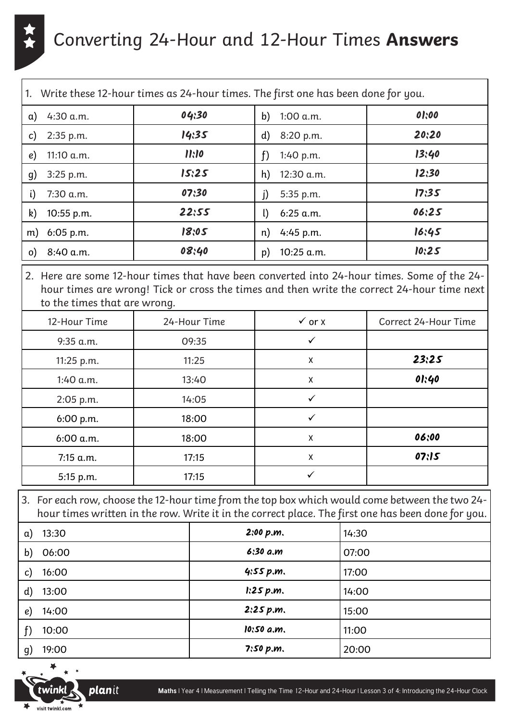

#### Converting 24-Hour and 12-Hour Times **Answers**

| 1.   Write these 12-hour times as 24-hour times. The first one has been done for you. |              |       |                   |       |
|---------------------------------------------------------------------------------------|--------------|-------|-------------------|-------|
| a)                                                                                    | $4:30$ a.m.  | 04:30 | b)<br>1:00 a.m.   | 01:00 |
| C)                                                                                    | $2:35$ p.m.  | 14:35 | d)<br>8:20 p.m.   | 20:20 |
| e)                                                                                    | 11:10 $a.m.$ | 11:10 | f)<br>1:40 p.m.   | 13:40 |
| g)                                                                                    | 3:25 p.m.    | 15:25 | h)<br>12:30 a.m.  | 12:30 |
| i)                                                                                    | 7:30 a.m.    | 07:30 | j)<br>5:35 p.m.   | 17:35 |
| k)                                                                                    | 10:55 p.m.   | 22:55 | l)<br>$6:25$ a.m. | 06:25 |
| m)                                                                                    | $6:05$ p.m.  | 18:05 | $4:45$ p.m.<br>n) | 16:45 |
| $\circ$ )                                                                             | 8:40 a.m.    | 08:40 | 10:25 a.m.<br>p)  | 10:25 |

2. Here are some 12-hour times that have been converted into 24-hour times. Some of the 24 hour times are wrong! Tick or cross the times and then write the correct 24-hour time next to the times that are wrong.

| 12-Hour Time | 24-Hour Time | $\checkmark$ or $X$ | Correct 24-Hour Time |
|--------------|--------------|---------------------|----------------------|
| $9:35$ a.m.  | 09:35        | ✓                   |                      |
| 11:25 p.m.   | 11:25        | X                   | 23:25                |
| $1:40$ a.m.  | 13:40        | X                   | 01:40                |
| 2:05 p.m.    | 14:05        | ✓                   |                      |
| 6:00 p.m.    | 18:00        | $\checkmark$        |                      |
| 6:00 a.m.    | 18:00        | X                   | 06:00                |
| 7:15 a.m.    | 17:15        | Χ                   | 07:15                |
| 5:15 p.m.    | 17:15        | ✓                   |                      |

3. For each row, choose the 12-hour time from the top box which would come between the two 24 hour times written in the row. Write it in the correct place. The first one has been done for you.

| 13:30<br>α)           | 2:00 p.m.    | 14:30 |
|-----------------------|--------------|-------|
| b)<br>06:00           | 6:30 a.m     | 07:00 |
| 16:00<br>C)           | 4:55 p.m.    | 17:00 |
| $\mathbf{d}$<br>13:00 | 1:25 p.m.    | 14:00 |
| 14:00<br>e)           | 2:25 p.m.    | 15:00 |
| 10:00                 | $10:50$ a.m. | 11:00 |
| 19:00<br>g)           | 7:50 p.m.    | 20:00 |